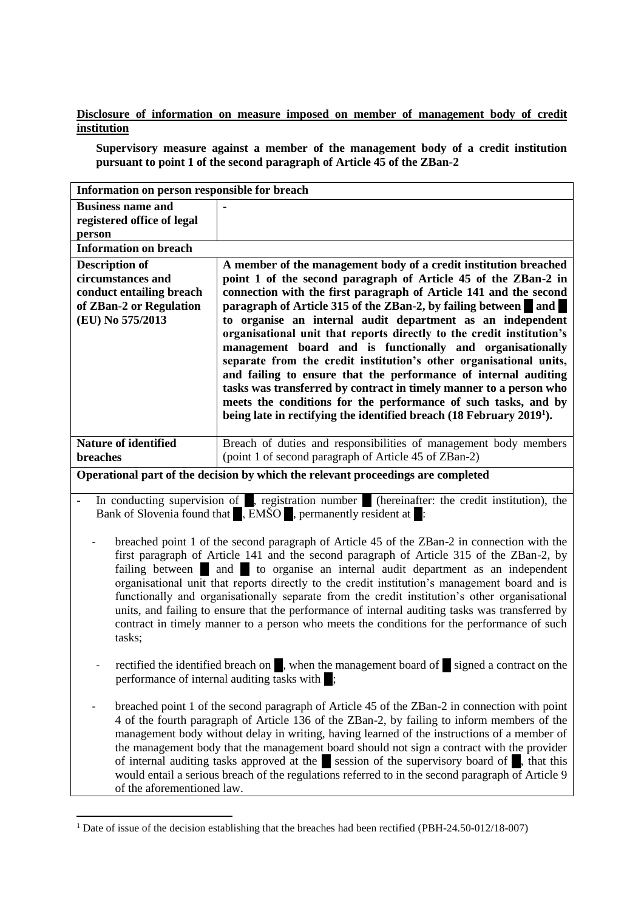**Disclosure of information on measure imposed on member of management body of credit institution**

**Supervisory measure against a member of the management body of a credit institution pursuant to point 1 of the second paragraph of Article 45 of the ZBan-2**

| Information on person responsible for breach                                                                                                                                                     |                                                                                                                              |
|--------------------------------------------------------------------------------------------------------------------------------------------------------------------------------------------------|------------------------------------------------------------------------------------------------------------------------------|
| <b>Business name and</b>                                                                                                                                                                         |                                                                                                                              |
| registered office of legal                                                                                                                                                                       |                                                                                                                              |
| person                                                                                                                                                                                           |                                                                                                                              |
| <b>Information on breach</b>                                                                                                                                                                     |                                                                                                                              |
| <b>Description of</b>                                                                                                                                                                            | A member of the management body of a credit institution breached                                                             |
| circumstances and                                                                                                                                                                                | point 1 of the second paragraph of Article 45 of the ZBan-2 in                                                               |
| conduct entailing breach                                                                                                                                                                         | connection with the first paragraph of Article 141 and the second                                                            |
| of ZBan-2 or Regulation<br>(EU) No 575/2013                                                                                                                                                      | paragraph of Article 315 of the ZBan-2, by failing between and<br>to organise an internal audit department as an independent |
|                                                                                                                                                                                                  | organisational unit that reports directly to the credit institution's                                                        |
|                                                                                                                                                                                                  | management board and is functionally and organisationally                                                                    |
|                                                                                                                                                                                                  | separate from the credit institution's other organisational units,                                                           |
|                                                                                                                                                                                                  | and failing to ensure that the performance of internal auditing                                                              |
|                                                                                                                                                                                                  | tasks was transferred by contract in timely manner to a person who                                                           |
|                                                                                                                                                                                                  | meets the conditions for the performance of such tasks, and by                                                               |
|                                                                                                                                                                                                  | being late in rectifying the identified breach (18 February 2019 <sup>1</sup> ).                                             |
| <b>Nature of identified</b>                                                                                                                                                                      | Breach of duties and responsibilities of management body members                                                             |
| breaches                                                                                                                                                                                         | (point 1 of second paragraph of Article 45 of ZBan-2)                                                                        |
| Operational part of the decision by which the relevant proceedings are completed                                                                                                                 |                                                                                                                              |
|                                                                                                                                                                                                  |                                                                                                                              |
| In conducting supervision of , registration number (hereinafter: the credit institution), the                                                                                                    |                                                                                                                              |
| Bank of Slovenia found that <b>FULLER</b> , EMSO <b>FULLER</b> , permanently resident at :                                                                                                       |                                                                                                                              |
|                                                                                                                                                                                                  |                                                                                                                              |
|                                                                                                                                                                                                  | breached point 1 of the second paragraph of Article 45 of the ZBan-2 in connection with the                                  |
| first paragraph of Article 141 and the second paragraph of Article 315 of the ZBan-2, by                                                                                                         |                                                                                                                              |
| failing between and to organise an internal audit department as an independent                                                                                                                   |                                                                                                                              |
| organisational unit that reports directly to the credit institution's management board and is                                                                                                    |                                                                                                                              |
| functionally and organisationally separate from the credit institution's other organisational<br>units, and failing to ensure that the performance of internal auditing tasks was transferred by |                                                                                                                              |
| contract in timely manner to a person who meets the conditions for the performance of such                                                                                                       |                                                                                                                              |
| tasks;                                                                                                                                                                                           |                                                                                                                              |
|                                                                                                                                                                                                  |                                                                                                                              |
| rectified the identified breach on , when the management board of signed a contract on the                                                                                                       |                                                                                                                              |
| performance of internal auditing tasks with :                                                                                                                                                    |                                                                                                                              |
|                                                                                                                                                                                                  |                                                                                                                              |
| breached point 1 of the second paragraph of Article 45 of the ZBan-2 in connection with point                                                                                                    |                                                                                                                              |
|                                                                                                                                                                                                  | 4 of the fourth paragraph of Article 136 of the ZBan-2, by failing to inform members of the                                  |
| management body without delay in writing, having learned of the instructions of a member of                                                                                                      |                                                                                                                              |
| the management body that the management board should not sign a contract with the provider                                                                                                       |                                                                                                                              |
| of internal auditing tasks approved at the session of the supervisory board of, that this                                                                                                        |                                                                                                                              |
| would entail a serious breach of the regulations referred to in the second paragraph of Article 9<br>of the aforementioned law.                                                                  |                                                                                                                              |
|                                                                                                                                                                                                  |                                                                                                                              |

<sup>&</sup>lt;sup>1</sup> Date of issue of the decision establishing that the breaches had been rectified (PBH-24.50-012/18-007)

 $\overline{a}$